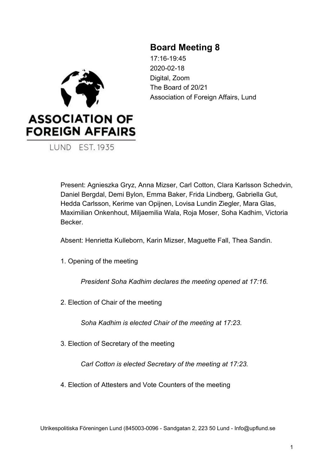# **Board Meeting 8**

**ASSOCIATION OF FOREIGN AFFAIRS LUND EST. 1935** 

17:16-19:45 2020-02-18 Digital, Zoom The Board of 20/21 Association of Foreign Affairs, Lund

Present: Agnieszka Gryz, Anna Mizser, Carl Cotton, Clara Karlsson Schedvin, Daniel Bergdal, Demi Bylon, Emma Baker, Frida Lindberg, Gabriella Gut, Hedda Carlsson, Kerime van Opijnen, Lovisa Lundin Ziegler, Mara Glas, Maximilian Onkenhout, Miljaemilia Wala, Roja Moser, Soha Kadhim, Victoria **Becker** 

Absent: Henrietta Kulleborn, Karin Mizser, Maguette Fall, Thea Sandin.

1. Opening of the meeting

*President Soha Kadhim declares the meeting opened at 17:16.*

2. Election of Chair of the meeting

*Soha Kadhim is elected Chair of the meeting at 17:23.*

3. Election of Secretary of the meeting

*Carl Cotton is elected Secretary of the meeting at 17:23.*

4. Election of Attesters and Vote Counters of the meeting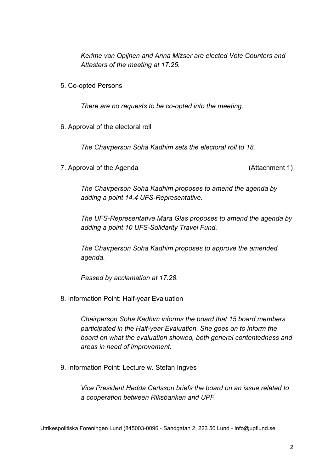*Kerime van Opijnen and Anna Mizser are elected Vote Counters and Attesters of the meeting at 17:25.*

5. Co-opted Persons

*There are no requests to be co-opted into the meeting.*

6. Approval of the electoral roll

*The Chairperson Soha Kadhim sets the electoral roll to 18.*

7. Approval of the Agenda (Attachment 1)

*The Chairperson Soha Kadhim proposes to amend the agenda by adding a point 14.4 UFS-Representative.*

*The UFS-Representative Mara Glas proposes to amend the agenda by adding a point 10 UFS-Solidarity Travel Fund.*

*The Chairperson Soha Kadhim proposes to approve the amended agenda.*

*Passed by acclamation at 17:28.*

8. Information Point: Half-year Evaluation

*Chairperson Soha Kadhim informs the board that 15 board members participated in the Half-year Evaluation. She goes on to inform the board on what the evaluation showed, both general contentedness and areas in need of improvement.*

9. Information Point: Lecture w. Stefan Ingves

*Vice President Hedda Carlsson briefs the board on an issue related to a cooperation between Riksbanken and UPF.*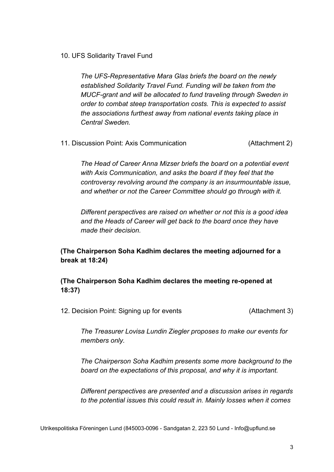10. UFS Solidarity Travel Fund

*The UFS-Representative Mara Glas briefs the board on the newly established Solidarity Travel Fund. Funding will be taken from the MUCF-grant and will be allocated to fund traveling through Sweden in order to combat steep transportation costs. This is expected to assist the associations furthest away from national events taking place in Central Sweden.*

11. Discussion Point: Axis Communication (Attachment 2)

*The Head of Career Anna Mizser briefs the board on a potential event with Axis Communication, and asks the board if they feel that the controversy revolving around the company is an insurmountable issue, and whether or not the Career Committee should go through with it.*

*Different perspectives are raised on whether or not this is a good idea and the Heads of Career will get back to the board once they have made their decision.*

## **(The Chairperson Soha Kadhim declares the meeting adjourned for a break at 18:24)**

## **(The Chairperson Soha Kadhim declares the meeting re-opened at 18:37)**

12. Decision Point: Signing up for events (Attachment 3)

*The Treasurer Lovisa Lundin Ziegler proposes to make our events for members only.*

*The Chairperson Soha Kadhim presents some more background to the board on the expectations of this proposal, and why it is important.*

*Different perspectives are presented and a discussion arises in regards to the potential issues this could result in. Mainly losses when it comes*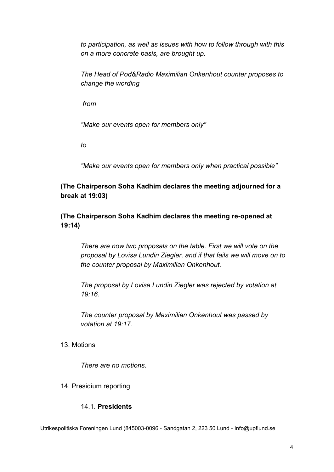*to participation, as well as issues with how to follow through with this on a more concrete basis, are brought up.*

*The Head of Pod&Radio Maximilian Onkenhout counter proposes to change the wording*

 *from*

*"Make our events open for members only"*

*to*

*"Make our events open for members only when practical possible"*

**(The Chairperson Soha Kadhim declares the meeting adjourned for a break at 19:03)**

**(The Chairperson Soha Kadhim declares the meeting re-opened at 19:14)**

*There are now two proposals on the table. First we will vote on the proposal by Lovisa Lundin Ziegler, and if that fails we will move on to the counter proposal by Maximilian Onkenhout.*

*The proposal by Lovisa Lundin Ziegler was rejected by votation at 19:16.*

*The counter proposal by Maximilian Onkenhout was passed by votation at 19:17.*

13. Motions

*There are no motions.*

14. Presidium reporting

## 14.1. **Presidents**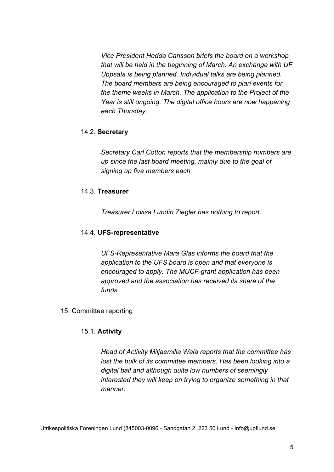*Vice President Hedda Carlsson briefs the board on a workshop that will be held in the beginning of March. An exchange with UF Uppsala is being planned. Individual talks are being planned. The board members are being encouraged to plan events for the theme weeks in March. The application to the Project of the Year is still ongoing. The digital office hours are now happening each Thursday.*

#### 14.2. **Secretary**

*Secretary Carl Cotton reports that the membership numbers are up since the last board meeting, mainly due to the goal of signing up five members each.*

#### 14.3. **Treasurer**

*Treasurer Lovisa Lundin Ziegler has nothing to report.*

#### 14.4. **UFS-representative**

*UFS-Representative Mara Glas informs the board that the application to the UFS board is open and that everyone is encouraged to apply. The MUCF-grant application has been approved and the association has received its share of the funds.*

#### 15. Committee reporting

## 15.1. **Activity**

*Head of Activity Miljaemilia Wala reports that the committee has lost the bulk of its committee members. Has been looking into a digital ball and although quite low numbers of seemingly interested they will keep on trying to organize something in that manner.*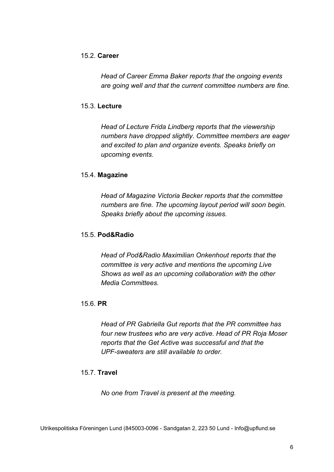#### 15.2. **Career**

*Head of Career Emma Baker reports that the ongoing events are going well and that the current committee numbers are fine.*

#### 15.3. **Lecture**

*Head of Lecture Frida Lindberg reports that the viewership numbers have dropped slightly. Committee members are eager and excited to plan and organize events. Speaks briefly on upcoming events.*

#### 15.4. **Magazine**

*Head of Magazine Victoria Becker reports that the committee numbers are fine. The upcoming layout period will soon begin. Speaks briefly about the upcoming issues.*

#### 15.5. **Pod&Radio**

*Head of Pod&Radio Maximilian Onkenhout reports that the committee is very active and mentions the upcoming Live Shows as well as an upcoming collaboration with the other Media Committees.*

#### 15.6. **PR**

*Head of PR Gabriella Gut reports that the PR committee has four new trustees who are very active. Head of PR Roja Moser reports that the Get Active was successful and that the UPF-sweaters are still available to order.*

#### 15.7. **Travel**

*No one from Travel is present at the meeting.*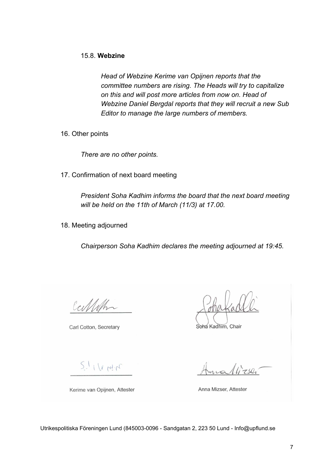*Head of Webzine Kerime van Opijnen reports that the committee numbers are rising. The Heads will try to capitalize on this and will post more articles from now on. Head of Webzine Daniel Bergdal reports that they will recruit a new Sub Editor to manage the large numbers of members.*

16. Other points

*There are no other points.*

17. Confirmation of next board meeting

*President Soha Kadhim informs the board that the next board meeting will be held on the 11th of March (11/3) at 17.00.*

18. Meeting adjourned

*Chairperson Soha Kadhim declares the meeting adjourned at 19:45.*

Calletha

Carl Cotton, Secretary

Soha Kadhim, Chair

 $5.114$  min

Kerime van Opijnen, Attester

 $llz$ ser

Anna Mizser, Attester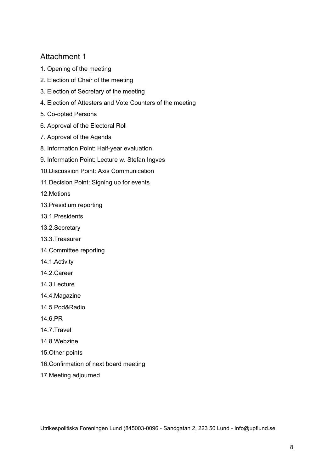# Attachment 1

- 1. Opening of the meeting
- 2. Election of Chair of the meeting
- 3. Election of Secretary of the meeting
- 4. Election of Attesters and Vote Counters of the meeting
- 5. Co-opted Persons
- 6. Approval of the Electoral Roll
- 7. Approval of the Agenda
- 8. Information Point: Half-year evaluation
- 9. Information Point: Lecture w. Stefan Ingves
- 10.Discussion Point: Axis Communication
- 11.Decision Point: Signing up for events
- 12.Motions
- 13.Presidium reporting
- 13.1.Presidents
- 13.2.Secretary
- 13.3.Treasurer
- 14.Committee reporting
- 14.1.Activity
- 14.2.Career
- 14.3.Lecture
- 14.4.Magazine
- 14.5.Pod&Radio
- 14.6.PR
- 14.7.Travel
- 14.8.Webzine
- 15.Other points
- 16.Confirmation of next board meeting
- 17.Meeting adjourned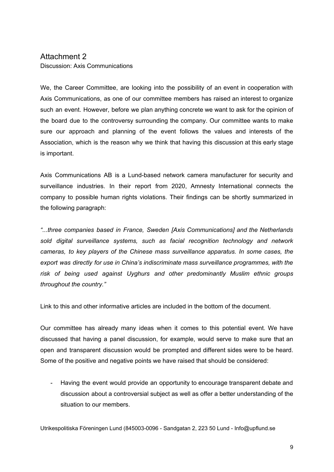#### Attachment 2 Discussion: Axis Communications

We, the Career Committee, are looking into the possibility of an event in cooperation with Axis Communications, as one of our committee members has raised an interest to organize such an event. However, before we plan anything concrete we want to ask for the opinion of the board due to the controversy surrounding the company. Our committee wants to make sure our approach and planning of the event follows the values and interests of the Association, which is the reason why we think that having this discussion at this early stage is important.

Axis Communications AB is a Lund-based network camera manufacturer for security and surveillance industries. In their report from 2020, Amnesty International connects the company to possible human rights violations. Their findings can be shortly summarized in the following paragraph:

*"...three companies based in France, Sweden [Axis Communications] and the Netherlands sold digital surveillance systems, such as facial recognition technology and network cameras, to key players of the Chinese mass surveillance apparatus. In some cases, the export was directly for use in China's indiscriminate mass surveillance programmes, with the risk of being used against Uyghurs and other predominantly Muslim ethnic groups throughout the country."*

Link to this and other informative articles are included in the bottom of the document.

Our committee has already many ideas when it comes to this potential event. We have discussed that having a panel discussion, for example, would serve to make sure that an open and transparent discussion would be prompted and different sides were to be heard. Some of the positive and negative points we have raised that should be considered:

- Having the event would provide an opportunity to encourage transparent debate and discussion about a controversial subject as well as offer a better understanding of the situation to our members.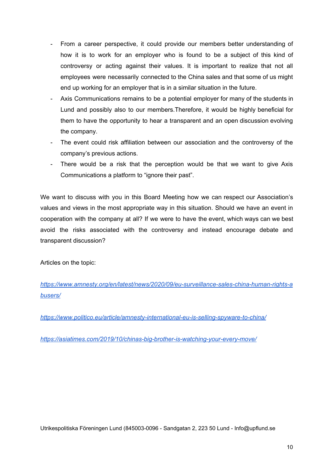- From a career perspective, it could provide our members better understanding of how it is to work for an employer who is found to be a subject of this kind of controversy or acting against their values. It is important to realize that not all employees were necessarily connected to the China sales and that some of us might end up working for an employer that is in a similar situation in the future.
- Axis Communications remains to be a potential employer for many of the students in Lund and possibly also to our members.Therefore, it would be highly beneficial for them to have the opportunity to hear a transparent and an open discussion evolving the company.
- The event could risk affiliation between our association and the controversy of the company's previous actions.
- There would be a risk that the perception would be that we want to give Axis Communications a platform to "ignore their past".

We want to discuss with you in this Board Meeting how we can respect our Association's values and views in the most appropriate way in this situation. Should we have an event in cooperation with the company at all? If we were to have the event, which ways can we best avoid the risks associated with the controversy and instead encourage debate and transparent discussion?

Articles on the topic:

*[https://www.amnesty.org/en/latest/news/2020/09/eu-surveillance-sales-china-human-rights-a](https://www.amnesty.org/en/latest/news/2020/09/eu-surveillance-sales-china-human-rights-abusers/) [busers/](https://www.amnesty.org/en/latest/news/2020/09/eu-surveillance-sales-china-human-rights-abusers/)*

*<https://www.politico.eu/article/amnesty-international-eu-is-selling-spyware-to-china/>*

*<https://asiatimes.com/2019/10/chinas-big-brother-is-watching-your-every-move/>*